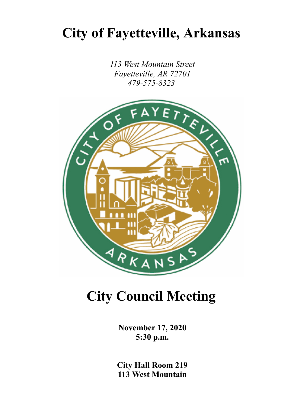## **City of Fayetteville, Arkansas**

*113 West Mountain Street Fayetteville, AR 72701*



# **City Council Meeting**

**November 17, 2020 5:30 p.m.**

**City Hall Room 219 113 West Mountain**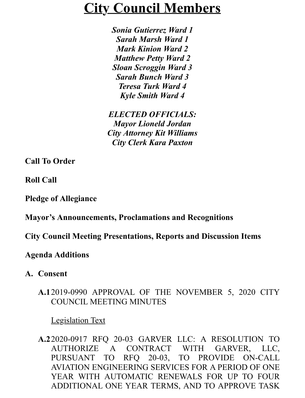## **City Council Members**

*Sonia Gutierrez Ward 1 Sarah Marsh Ward 1 Mark Kinion Ward 2 Matthew Petty Ward 2 Sloan Scroggin Ward 3 Sarah Bunch Ward 3 Teresa Turk Ward 4 Kyle Smith Ward 4*

*ELECTED OFFICIALS: Mayor Lioneld Jordan City Attorney Kit Williams City Clerk Kara Paxton*

**Call To Order**

**Roll Call**

#### **Pledge of Allegiance**

#### **Mayor's Announcements, Proclamations and Recognitions**

#### **City Council Meeting Presentations, Reports and Discussion Items**

#### **Agenda Additions**

**A. Consent**

#### **A.1**2019-0990 APPROVAL OF THE NOVEMBER 5, 2020 CITY [COUNCIL MEE](https://accessfayetteville.granicus.com/MetaViewer.php?view_id=14&event_id=2411&meta_id=205421)TING MINUTES

Legislation Text

**A.2**2020-0917 RFQ 20-03 GARVER LLC: A RESOLUTION TO AUTHORIZE A CONTRACT WITH GARVER, LLC, PURSUANT TO RFQ 20-03, TO PROVIDE ON-CALL AVIATION ENGINEERING SERVICES FOR A PERIOD OF ONE YEAR WITH AUTOMATIC RENEWALS FOR UP TO FOUR ADDITIONAL ONE YEAR TERMS, AND TO APPROVE TASK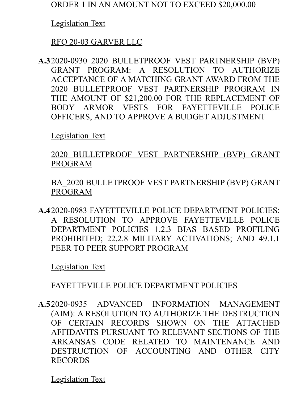## [Legislation Text](https://accessfayetteville.granicus.com/MetaViewer.php?view_id=14&event_id=2411&meta_id=205424)

## RFQ 20-03 GARVER LLC

**A.3**2020-0930 2020 BULLETPROOF VEST PARTNERSHIP (BVP) GRANT PROGRAM: A RESOLUTION TO AUTHORIZE ACCEPTANCE OF A MATCHING GRANT AWARD FROM THE 2020 BULLETPROOF VEST PARTNERSHIP PROGRAM IN THE AMOUNT OF \$21,200.00 FOR THE REPLACEMENT OF BODY ARMOR VESTS FOR FAYETTEVILLE POLICE [OFFICERS, AN](https://accessfayetteville.granicus.com/MetaViewer.php?view_id=14&event_id=2411&meta_id=205426)D TO APPROVE A BUDGET ADJUSTMENT

#### Legislation Text

#### [2020 BULLETPROOF VEST PARTNERSHIP \(BVP\) GRANT](https://accessfayetteville.granicus.com/MetaViewer.php?view_id=14&event_id=2411&meta_id=205427) PROGRAM

[BA\\_2020 BULLETPROOF VEST PARTNERSHIP \(BVP\) GRANT](https://accessfayetteville.granicus.com/MetaViewer.php?view_id=14&event_id=2411&meta_id=205428) PROGRAM

**A.4**2020-0983 FAYETTEVILLE POLICE DEPARTMENT POLICIES: A RESOLUTION TO APPROVE FAYETTEVILLE POLICE DEPARTMENT POLICIES 1.2.3 BIAS BASED PROFILING PROHIBITED; 22.2.8 MILITARY ACTIVATIONS; AND 49.1.1 [PEER TO PEER](https://accessfayetteville.granicus.com/MetaViewer.php?view_id=14&event_id=2411&meta_id=205430) SUPPORT PROGRAM

[Legislation Text](https://accessfayetteville.granicus.com/MetaViewer.php?view_id=14&event_id=2411&meta_id=205431)

#### FAYETTEVILLE POLICE DEPARTMENT POLICIES

**A.5**2020-0935 ADVANCED INFORMATION MANAGEMENT (AIM): A RESOLUTION TO AUTHORIZE THE DESTRUCTION OF CERTAIN RECORDS SHOWN ON THE ATTACHED AFFIDAVITS PURSUANT TO RELEVANT SECTIONS OF THE ARKANSAS CODE RELATED TO MAINTENANCE AND DESTRUCTION OF ACCOUNTING AND OTHER CITY [RECORDS](https://accessfayetteville.granicus.com/MetaViewer.php?view_id=14&event_id=2411&meta_id=205433)

Legislation Text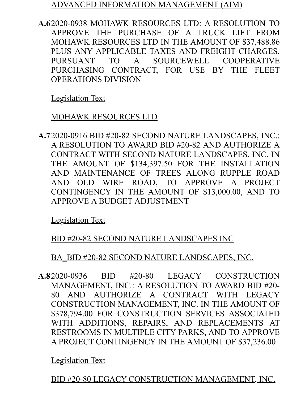#### ADVANCED INFORMATION MANAGEMENT (AIM)

**A.6**2020-0938 MOHAWK RESOURCES LTD: A RESOLUTION TO APPROVE THE PURCHASE OF A TRUCK LIFT FROM MOHAWK RESOURCES LTD IN THE AMOUNT OF \$37,488.86 PLUS ANY APPLICABLE TAXES AND FREIGHT CHARGES, PURSUANT TO A SOURCEWELL COOPERATIVE PURCHASING CONTRACT, FOR USE BY THE FLEET [OPERATIONS D](https://accessfayetteville.granicus.com/MetaViewer.php?view_id=14&event_id=2411&meta_id=205436)IVISION

#### [Legislation Text](https://accessfayetteville.granicus.com/MetaViewer.php?view_id=14&event_id=2411&meta_id=205437)

#### MOHAWK RESOURCES LTD

**A.7**2020-0916 BID #20-82 SECOND NATURE LANDSCAPES, INC.: A RESOLUTION TO AWARD BID #20-82 AND AUTHORIZE A CONTRACT WITH SECOND NATURE LANDSCAPES, INC. IN THE AMOUNT OF \$134,397.50 FOR THE INSTALLATION AND MAINTENANCE OF TREES ALONG RUPPLE ROAD AND OLD WIRE ROAD, TO APPROVE A PROJECT CONTINGENCY IN THE AMOUNT OF \$13,000.00, AND TO [APPROVE A BU](https://accessfayetteville.granicus.com/MetaViewer.php?view_id=14&event_id=2411&meta_id=205439)DGET ADJUSTMENT

[Legislation Text](https://accessfayetteville.granicus.com/MetaViewer.php?view_id=14&event_id=2411&meta_id=205440)

#### [BID #20-82 SECOND NATURE LANDSCAPES INC](https://accessfayetteville.granicus.com/MetaViewer.php?view_id=14&event_id=2411&meta_id=205441)

#### BA\_BID #20-82 SECOND NATURE LANDSCAPES, INC.

**A.8**2020-0936 BID #20-80 LEGACY CONSTRUCTION MANAGEMENT, INC.: A RESOLUTION TO AWARD BID #20- 80 AND AUTHORIZE A CONTRACT WITH LEGACY CONSTRUCTION MANAGEMENT, INC. IN THE AMOUNT OF \$378,794.00 FOR CONSTRUCTION SERVICES ASSOCIATED WITH ADDITIONS, REPAIRS, AND REPLACEMENTS AT RESTROOMS IN MULTIPLE CITY PARKS, AND TO APPROVE [A PROJECT CO](https://accessfayetteville.granicus.com/MetaViewer.php?view_id=14&event_id=2411&meta_id=205443)NTINGENCY IN THE AMOUNT OF \$37,236.00

[Legislation Text](https://accessfayetteville.granicus.com/MetaViewer.php?view_id=14&event_id=2411&meta_id=205444)

BID #20-80 LEGACY CONSTRUCTION MANAGEMENT, INC.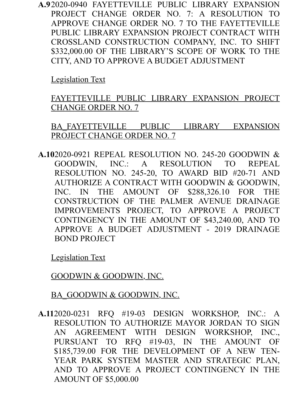**A.9**2020-0940 FAYETTEVILLE PUBLIC LIBRARY EXPANSION PROJECT CHANGE ORDER NO. 7: A RESOLUTION TO APPROVE CHANGE ORDER NO. 7 TO THE FAYETTEVILLE PUBLIC LIBRARY EXPANSION PROJECT CONTRACT WITH CROSSLAND CONSTRUCTION COMPANY, INC. TO SHIFT \$332,000.00 OF THE LIBRARY'S SCOPE OF WORK TO THE [CITY, AND TO](https://accessfayetteville.granicus.com/MetaViewer.php?view_id=14&event_id=2411&meta_id=205446) APPROVE A BUDGET ADJUSTMENT

Legislation Text

[FAYETTEVILLE PUBLIC LIBRARY EXPANSION PROJECT](https://accessfayetteville.granicus.com/MetaViewer.php?view_id=14&event_id=2411&meta_id=205447) CHANGE ORDER NO. 7

[BA\\_FAYETTEVILLE PUBLIC LIBRARY EXPANSION](https://accessfayetteville.granicus.com/MetaViewer.php?view_id=14&event_id=2411&meta_id=205448) PROJECT CHANGE ORDER NO. 7

**A.10**2020-0921 REPEAL RESOLUTION NO. 245-20 GOODWIN & GOODWIN, INC.: A RESOLUTION TO REPEAL RESOLUTION NO. 245-20, TO AWARD BID #20-71 AND AUTHORIZE A CONTRACT WITH GOODWIN & GOODWIN, INC. IN THE AMOUNT OF \$288,326.10 FOR THE CONSTRUCTION OF THE PALMER AVENUE DRAINAGE IMPROVEMENTS PROJECT, TO APPROVE A PROJECT CONTINGENCY IN THE AMOUNT OF \$43,240.00, AND TO APPROVE A BUDGET ADJUSTMENT - 2019 DRAINAGE [BOND PROJEC](https://accessfayetteville.granicus.com/MetaViewer.php?view_id=14&event_id=2411&meta_id=205450)T

[Legislation Text](https://accessfayetteville.granicus.com/MetaViewer.php?view_id=14&event_id=2411&meta_id=205451)

[GOODWIN & GOODWIN, INC.](https://accessfayetteville.granicus.com/MetaViewer.php?view_id=14&event_id=2411&meta_id=205452)

BA\_GOODWIN & GOODWIN, INC.

**A.11**2020-0231 RFQ #19-03 DESIGN WORKSHOP, INC.: A RESOLUTION TO AUTHORIZE MAYOR JORDAN TO SIGN AN AGREEMENT WITH DESIGN WORKSHOP, INC., PURSUANT TO RFQ #19-03, IN THE AMOUNT OF \$185,739.00 FOR THE DEVELOPMENT OF A NEW TEN-YEAR PARK SYSTEM MASTER AND STRATEGIC PLAN, AND TO APPROVE A PROJECT CONTINGENCY IN THE AMOUNT OF \$5,000.00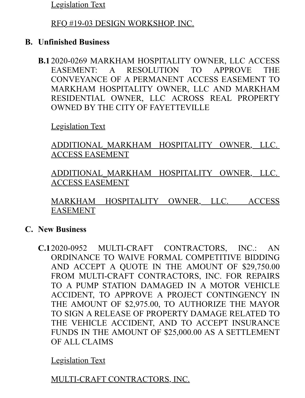[Legislation Text](https://accessfayetteville.granicus.com/MetaViewer.php?view_id=14&event_id=2411&meta_id=205455)

#### RFQ #19-03 DESIGN WORKSHOP, INC.

#### **B. Unfinished Business**

**B.1** 2020-0269 MARKHAM HOSPITALITY OWNER, LLC ACCESS EASEMENT: A RESOLUTION TO APPROVE THE CONVEYANCE OF A PERMANENT ACCESS EASEMENT TO MARKHAM HOSPITALITY OWNER, LLC AND MARKHAM RESIDENTIAL OWNER, LLC ACROSS REAL PROPERTY [OWNED BY TH](https://accessfayetteville.granicus.com/MetaViewer.php?view_id=14&event_id=2411&meta_id=205458)E CITY OF FAYETTEVILLE

Legislation Text

[ADDITIONAL\\_MARKHAM HOSPITALITY OWNER, LLC.](https://accessfayetteville.granicus.com/MetaViewer.php?view_id=14&event_id=2411&meta_id=205459)  ACCESS EASEMENT

[ADDITIONAL\\_MARKHAM HOSPITALITY OWNER, LLC.](https://accessfayetteville.granicus.com/MetaViewer.php?view_id=14&event_id=2411&meta_id=205460)  ACCESS EASEMENT

[MARKHAM HOSPITALITY OWNER, LLC. ACCESS](https://accessfayetteville.granicus.com/MetaViewer.php?view_id=14&event_id=2411&meta_id=205461) EASEMENT

#### **C. New Business**

**C.1**2020-0952 MULTI-CRAFT CONTRACTORS, INC.: AN ORDINANCE TO WAIVE FORMAL COMPETITIVE BIDDING AND ACCEPT A QUOTE IN THE AMOUNT OF \$29,750.00 FROM MULTI-CRAFT CONTRACTORS, INC. FOR REPAIRS TO A PUMP STATION DAMAGED IN A MOTOR VEHICLE ACCIDENT, TO APPROVE A PROJECT CONTINGENCY IN THE AMOUNT OF \$2,975.00, TO AUTHORIZE THE MAYOR TO SIGN A RELEASE OF PROPERTY DAMAGE RELATED TO THE VEHICLE ACCIDENT, AND TO ACCEPT INSURANCE FUNDS IN THE AMOUNT OF \$25,000.00 AS A SETTLEMENT [OF ALL CLAIM](https://accessfayetteville.granicus.com/MetaViewer.php?view_id=14&event_id=2411&meta_id=205464)S

[Legislation Text](https://accessfayetteville.granicus.com/MetaViewer.php?view_id=14&event_id=2411&meta_id=205465)

MULTI-CRAFT CONTRACTORS, INC.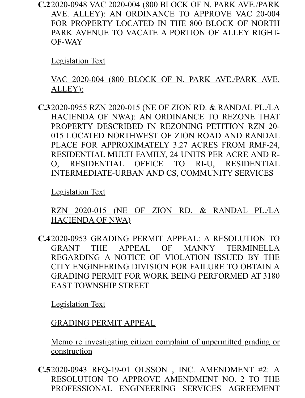**C.2**2020-0948 VAC 2020-004 (800 BLOCK OF N. PARK AVE./PARK AVE. ALLEY): AN ORDINANCE TO APPROVE VAC 20-004 FOR PROPERTY LOCATED IN THE 800 BLOCK OF NORTH PARK AVENUE TO VACATE A PORTION OF ALLEY RIGHT-[OF-WAY](https://accessfayetteville.granicus.com/MetaViewer.php?view_id=14&event_id=2411&meta_id=205467)

Legislation Text

[VAC 2020-004 \(800 BLOCK OF N. PARK AVE./PARK AVE.](https://accessfayetteville.granicus.com/MetaViewer.php?view_id=14&event_id=2411&meta_id=205468) ALLEY):

**C.3**2020-0955 RZN 2020-015 (NE OF ZION RD. & RANDAL PL./LA HACIENDA OF NWA): AN ORDINANCE TO REZONE THAT PROPERTY DESCRIBED IN REZONING PETITION RZN 20- 015 LOCATED NORTHWEST OF ZION ROAD AND RANDAL PLACE FOR APPROXIMATELY 3.27 ACRES FROM RMF-24, RESIDENTIAL MULTI FAMILY, 24 UNITS PER ACRE AND R-O, RESIDENTIAL OFFICE TO RI-U, RESIDENTIAL [INTERMEDIAT](https://accessfayetteville.granicus.com/MetaViewer.php?view_id=14&event_id=2411&meta_id=205470)E-URBAN AND CS, COMMUNITY SERVICES

Legislation Text

[RZN 2020-015 \(NE OF ZION RD. & RANDAL PL./LA](https://accessfayetteville.granicus.com/MetaViewer.php?view_id=14&event_id=2411&meta_id=205471) HACIENDA OF NWA)

**C.4**2020-0953 GRADING PERMIT APPEAL: A RESOLUTION TO GRANT THE APPEAL OF MANNY TERMINELLA REGARDING A NOTICE OF VIOLATION ISSUED BY THE CITY ENGINEERING DIVISION FOR FAILURE TO OBTAIN A GRADING PERMIT FOR WORK BEING PERFORMED AT 3180 [EAST TOWNSH](https://accessfayetteville.granicus.com/MetaViewer.php?view_id=14&event_id=2411&meta_id=205473)IP STREET

[Legislation Text](https://accessfayetteville.granicus.com/MetaViewer.php?view_id=14&event_id=2411&meta_id=205474)

GRADING PERMIT APPEAL

[Memo re investigating citizen complaint of unpermitted grading or](https://accessfayetteville.granicus.com/MetaViewer.php?view_id=14&event_id=2411&meta_id=205475) construction

**C.5**2020-0943 RFQ-19-01 OLSSON , INC. AMENDMENT #2: A RESOLUTION TO APPROVE AMENDMENT NO. 2 TO THE PROFESSIONAL ENGINEERING SERVICES AGREEMENT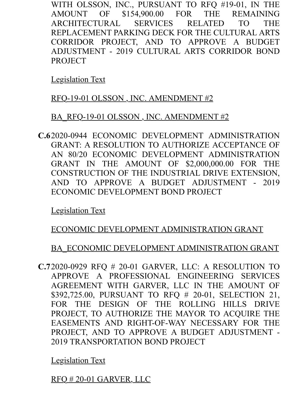WITH OLSSON, INC., PURSUANT TO RFQ #19-01, IN THE AMOUNT OF \$154,900.00 FOR THE REMAINING ARCHITECTURAL SERVICES RELATED TO THE REPLACEMENT PARKING DECK FOR THE CULTURAL ARTS CORRIDOR PROJECT, AND TO APPROVE A BUDGET ADJUSTMENT - 2019 CULTURAL ARTS CORRIDOR BOND [PROJECT](https://accessfayetteville.granicus.com/MetaViewer.php?view_id=14&event_id=2411&meta_id=205477)

[Legislation Text](https://accessfayetteville.granicus.com/MetaViewer.php?view_id=14&event_id=2411&meta_id=205478)

#### [RFQ-19-01 OLSSON , INC. AMENDMENT #2](https://accessfayetteville.granicus.com/MetaViewer.php?view_id=14&event_id=2411&meta_id=205479)

#### BA\_RFQ-19-01 OLSSON, INC. AMENDMENT #2

**C.6**2020-0944 ECONOMIC DEVELOPMENT ADMINISTRATION GRANT: A RESOLUTION TO AUTHORIZE ACCEPTANCE OF AN 80/20 ECONOMIC DEVELOPMENT ADMINISTRATION GRANT IN THE AMOUNT OF \$2,000,000.00 FOR THE CONSTRUCTION OF THE INDUSTRIAL DRIVE EXTENSION, AND TO APPROVE A BUDGET ADJUSTMENT - 2019 [ECONOMIC DE](https://accessfayetteville.granicus.com/MetaViewer.php?view_id=14&event_id=2411&meta_id=205481)VELOPMENT BOND PROJECT

[Legislation Text](https://accessfayetteville.granicus.com/MetaViewer.php?view_id=14&event_id=2411&meta_id=205482)

## [ECONOMIC DEVELOPMENT ADMINISTRATION GRANT](https://accessfayetteville.granicus.com/MetaViewer.php?view_id=14&event_id=2411&meta_id=205483)

## BA\_ECONOMIC DEVELOPMENT ADMINISTRATION GRANT

**C.7**2020-0929 RFQ # 20-01 GARVER, LLC: A RESOLUTION TO APPROVE A PROFESSIONAL ENGINEERING SERVICES AGREEMENT WITH GARVER, LLC IN THE AMOUNT OF \$392,725.00, PURSUANT TO RFQ # 20-01, SELECTION 21, FOR THE DESIGN OF THE ROLLING HILLS DRIVE PROJECT, TO AUTHORIZE THE MAYOR TO ACQUIRE THE EASEMENTS AND RIGHT-OF-WAY NECESSARY FOR THE PROJECT, AND TO APPROVE A BUDGET ADJUSTMENT - [2019 TRANSPO](https://accessfayetteville.granicus.com/MetaViewer.php?view_id=14&event_id=2411&meta_id=205485)RTATION BOND PROJECT

[Legislation Text](https://accessfayetteville.granicus.com/MetaViewer.php?view_id=14&event_id=2411&meta_id=205486)

RFQ # 20-01 GARVER, LLC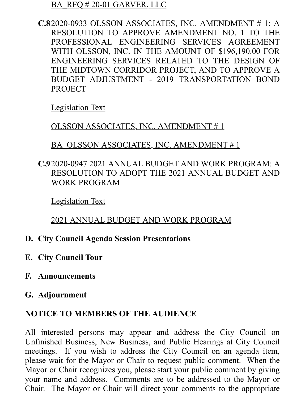#### BA\_RFQ # 20-01 GARVER, LLC

**C.8**2020-0933 OLSSON ASSOCIATES, INC. AMENDMENT # 1: A RESOLUTION TO APPROVE AMENDMENT NO. 1 TO THE PROFESSIONAL ENGINEERING SERVICES AGREEMENT WITH OLSSON, INC. IN THE AMOUNT OF \$196,190.00 FOR ENGINEERING SERVICES RELATED TO THE DESIGN OF THE MIDTOWN CORRIDOR PROJECT, AND TO APPROVE A BUDGET ADJUSTMENT - 2019 TRANSPORTATION BOND [PROJECT](https://accessfayetteville.granicus.com/MetaViewer.php?view_id=14&event_id=2411&meta_id=205489)

[Legislation Text](https://accessfayetteville.granicus.com/MetaViewer.php?view_id=14&event_id=2411&meta_id=205490)

#### [OLSSON ASSOCIATES, INC. AMENDMENT # 1](https://accessfayetteville.granicus.com/MetaViewer.php?view_id=14&event_id=2411&meta_id=205491)

#### BA\_OLSSON ASSOCIATES, INC. AMENDMENT # 1

**C.9**2020-0947 2021 ANNUAL BUDGET AND WORK PROGRAM: A RESOLUTION TO ADOPT THE 2021 ANNUAL BUDGET AND [WORK PROGR](https://accessfayetteville.granicus.com/MetaViewer.php?view_id=14&event_id=2411&meta_id=205493)AM

[Legislation Text](https://accessfayetteville.granicus.com/MetaViewer.php?view_id=14&event_id=2411&meta_id=205494)

#### 2021 ANNUAL BUDGET AND WORK PROGRAM

#### **D. City Council Agenda Session Presentations**

- **E. City Council Tour**
- **F. Announcements**
- **G. Adjournment**

#### **NOTICE TO MEMBERS OF THE AUDIENCE**

All interested persons may appear and address the City Council on Unfinished Business, New Business, and Public Hearings at City Council meetings. If you wish to address the City Council on an agenda item, please wait for the Mayor or Chair to request public comment. When the Mayor or Chair recognizes you, please start your public comment by giving your name and address. Comments are to be addressed to the Mayor or Chair. The Mayor or Chair will direct your comments to the appropriate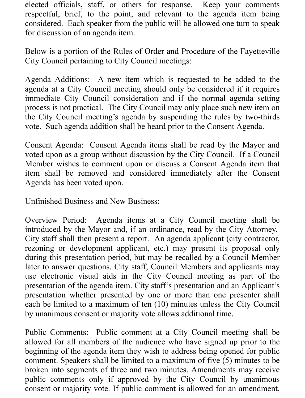elected officials, staff, or others for response. Keep your comments respectful, brief, to the point, and relevant to the agenda item being considered. Each speaker from the public will be allowed one turn to speak for discussion of an agenda item.

Below is a portion of the Rules of Order and Procedure of the Fayetteville City Council pertaining to City Council meetings:

Agenda Additions: A new item which is requested to be added to the agenda at a City Council meeting should only be considered if it requires immediate City Council consideration and if the normal agenda setting process is not practical. The City Council may only place such new item on the City Council meeting's agenda by suspending the rules by two-thirds vote. Such agenda addition shall be heard prior to the Consent Agenda.

Consent Agenda: Consent Agenda items shall be read by the Mayor and voted upon as a group without discussion by the City Council. If a Council Member wishes to comment upon or discuss a Consent Agenda item that item shall be removed and considered immediately after the Consent Agenda has been voted upon.

Unfinished Business and New Business:

Overview Period: Agenda items at a City Council meeting shall be introduced by the Mayor and, if an ordinance, read by the City Attorney. City staff shall then present a report. An agenda applicant (city contractor, rezoning or development applicant, etc.) may present its proposal only during this presentation period, but may be recalled by a Council Member later to answer questions. City staff, Council Members and applicants may use electronic visual aids in the City Council meeting as part of the presentation of the agenda item. City staff's presentation and an Applicant's presentation whether presented by one or more than one presenter shall each be limited to a maximum of ten (10) minutes unless the City Council by unanimous consent or majority vote allows additional time.

Public Comments: Public comment at a City Council meeting shall be allowed for all members of the audience who have signed up prior to the beginning of the agenda item they wish to address being opened for public comment. Speakers shall be limited to a maximum of five (5) minutes to be broken into segments of three and two minutes. Amendments may receive public comments only if approved by the City Council by unanimous consent or majority vote. If public comment is allowed for an amendment,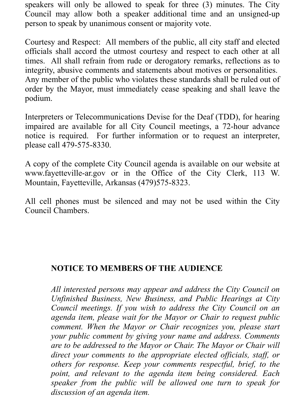speakers will only be allowed to speak for three (3) minutes. The City Council may allow both a speaker additional time and an unsigned-up person to speak by unanimous consent or majority vote.

Courtesy and Respect: All members of the public, all city staff and elected officials shall accord the utmost courtesy and respect to each other at all times. All shall refrain from rude or derogatory remarks, reflections as to integrity, abusive comments and statements about motives or personalities. Any member of the public who violates these standards shall be ruled out of order by the Mayor, must immediately cease speaking and shall leave the podium.

Interpreters or Telecommunications Devise for the Deaf (TDD), for hearing impaired are available for all City Council meetings, a 72-hour advance notice is required. For further information or to request an interpreter, please call 479-575-8330.

A copy of the complete City Council agenda is available on our website at www.fayetteville-ar.gov or in the Office of the City Clerk, 113 W. Mountain, Fayetteville, Arkansas (479)575-8323.

All cell phones must be silenced and may not be used within the City Council Chambers.

#### **NOTICE TO MEMBERS OF THE AUDIENCE**

*All interested persons may appear and address the City Council on Unfinished Business, New Business, and Public Hearings at City Council meetings. If you wish to address the City Council on an agenda item, please wait for the Mayor or Chair to request public comment. When the Mayor or Chair recognizes you, please start your public comment by giving your name and address. Comments are to be addressed to the Mayor or Chair. The Mayor or Chair will direct your comments to the appropriate elected officials, staff, or others for response. Keep your comments respectful, brief, to the point, and relevant to the agenda item being considered. Each speaker from the public will be allowed one turn to speak for discussion of an agenda item.*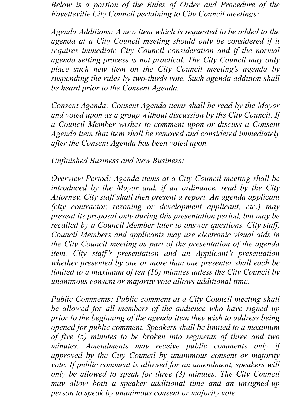*Below is a portion of the Rules of Order and Procedure of the Fayetteville City Council pertaining to City Council meetings:*

*Agenda Additions: A new item which is requested to be added to the agenda at a City Council meeting should only be considered if it requires immediate City Council consideration and if the normal agenda setting process is not practical. The City Council may only place such new item on the City Council meeting's agenda by suspending the rules by two-thirds vote. Such agenda addition shall be heard prior to the Consent Agenda.*

*Consent Agenda: Consent Agenda items shall be read by the Mayor and voted upon as a group without discussion by the City Council. If a Council Member wishes to comment upon or discuss a Consent Agenda item that item shall be removed and considered immediately after the Consent Agenda has been voted upon.*

*Unfinished Business and New Business:*

*Overview Period: Agenda items at a City Council meeting shall be introduced by the Mayor and, if an ordinance, read by the City Attorney. City staff shall then present a report. An agenda applicant (city contractor, rezoning or development applicant, etc.) may present its proposal only during this presentation period, but may be recalled by a Council Member later to answer questions. City staff, Council Members and applicants may use electronic visual aids in the City Council meeting as part of the presentation of the agenda item. City staff's presentation and an Applicant's presentation whether presented by one or more than one presenter shall each be limited to a maximum of ten (10) minutes unless the City Council by unanimous consent or majority vote allows additional time.*

*Public Comments: Public comment at a City Council meeting shall be allowed for all members of the audience who have signed up prior to the beginning of the agenda item they wish to address being opened for public comment. Speakers shall be limited to a maximum of five (5) minutes to be broken into segments of three and two minutes. Amendments may receive public comments only if approved by the City Council by unanimous consent or majority vote. If public comment is allowed for an amendment, speakers will only be allowed to speak for three (3) minutes. The City Council may allow both a speaker additional time and an unsigned-up person to speak by unanimous consent or majority vote.*